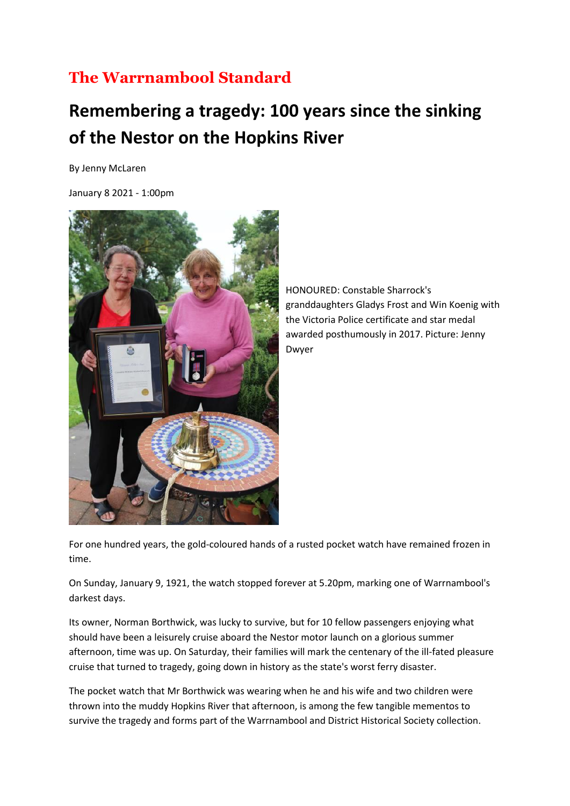## **The Warrnambool Standard**

## **Remembering a tragedy: 100 years since the sinking of the Nestor on the Hopkins River**

By Jenny McLaren

January 8 2021 - 1:00pm



HONOURED: Constable Sharrock's granddaughters Gladys Frost and Win Koenig with the Victoria Police certificate and star medal awarded posthumously in 2017. Picture: Jenny Dwyer

For one hundred years, the gold-coloured hands of a rusted pocket watch have remained frozen in time.

On Sunday, January 9, 1921, the watch stopped forever at 5.20pm, marking one of Warrnambool's darkest days.

Its owner, Norman Borthwick, was lucky to survive, but for 10 fellow passengers enjoying what should have been a leisurely cruise aboard the Nestor motor launch on a glorious summer afternoon, time was up. On Saturday, their families will mark the centenary of the ill-fated pleasure cruise that turned to tragedy, going down in history as the state's worst ferry disaster.

The pocket watch that Mr Borthwick was wearing when he and his wife and two children were thrown into the muddy Hopkins River that afternoon, is among the few tangible mementos to survive the tragedy and forms part of the Warrnambool and District Historical Society collection.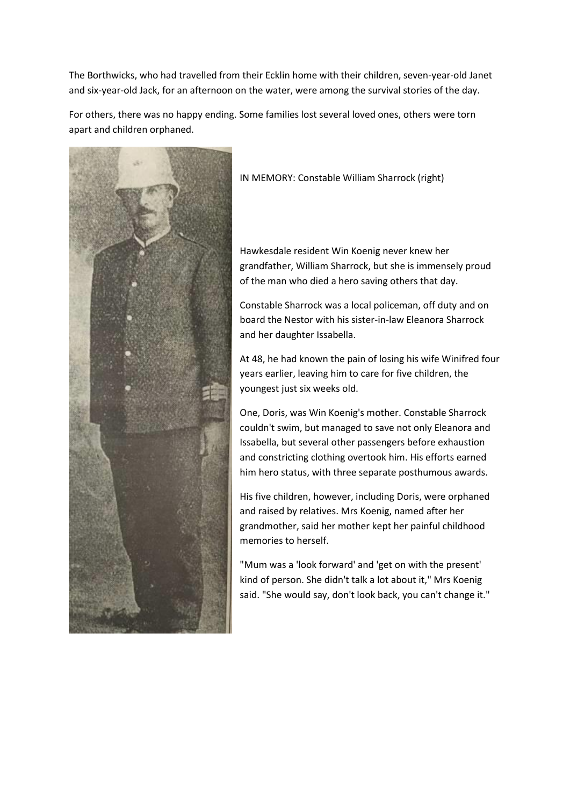The Borthwicks, who had travelled from their Ecklin home with their children, seven-year-old Janet and six-year-old Jack, for an afternoon on the water, were among the survival stories of the day.

For others, there was no happy ending. Some families lost several loved ones, others were torn apart and children orphaned.



IN MEMORY: Constable William Sharrock (right)

Hawkesdale resident Win Koenig never knew her grandfather, William Sharrock, but she is immensely proud of the man who died a hero saving others that day.

Constable Sharrock was a local policeman, off duty and on board the Nestor with his sister-in-law Eleanora Sharrock and her daughter Issabella.

At 48, he had known the pain of losing his wife Winifred four years earlier, leaving him to care for five children, the youngest just six weeks old.

One, Doris, was Win Koenig's mother. Constable Sharrock couldn't swim, but managed to save not only Eleanora and Issabella, but several other passengers before exhaustion and constricting clothing overtook him. His efforts earned him hero status, with three separate posthumous awards.

His five children, however, including Doris, were orphaned and raised by relatives. Mrs Koenig, named after her grandmother, said her mother kept her painful childhood memories to herself.

"Mum was a 'look forward' and 'get on with the present' kind of person. She didn't talk a lot about it," Mrs Koenig said. "She would say, don't look back, you can't change it."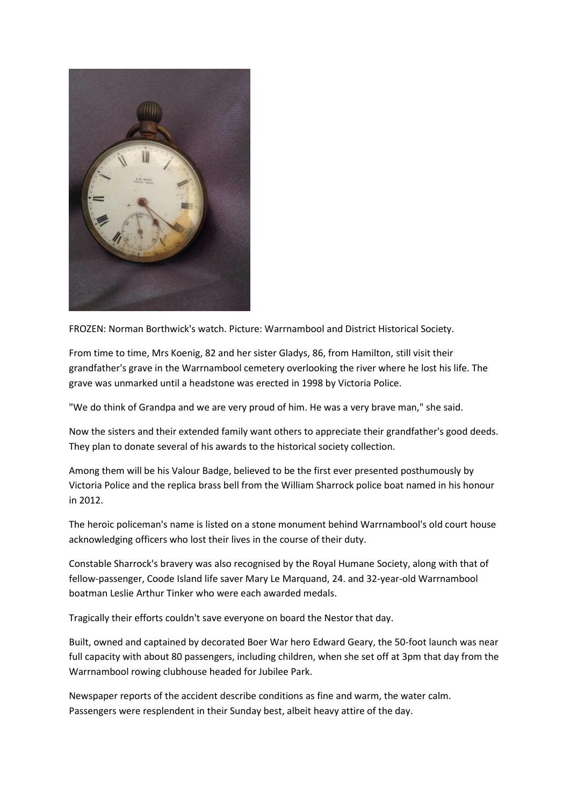

FROZEN: Norman Borthwick's watch. Picture: Warrnambool and District Historical Society.

From time to time, Mrs Koenig, 82 and her sister Gladys, 86, from Hamilton, still visit their grandfather's grave in the Warrnambool cemetery overlooking the river where he lost his life. The grave was unmarked until a headstone was erected in 1998 by Victoria Police.

"We do think of Grandpa and we are very proud of him. He was a very brave man," she said.

Now the sisters and their extended family want others to appreciate their grandfather's good deeds. They plan to donate several of his awards to the historical society collection.

Among them will be his Valour Badge, believed to be the first ever presented posthumously by Victoria Police and the replica brass bell from the William Sharrock police boat named in his honour in 2012.

The heroic policeman's name is listed on a stone monument behind Warrnambool's old court house acknowledging officers who lost their lives in the course of their duty.

Constable Sharrock's bravery was also recognised by the Royal Humane Society, along with that of fellow-passenger, Coode Island life saver Mary Le Marquand, 24. and 32-year-old Warrnambool boatman Leslie Arthur Tinker who were each awarded medals.

Tragically their efforts couldn't save everyone on board the Nestor that day.

Built, owned and captained by decorated Boer War hero Edward Geary, the 50-foot launch was near full capacity with about 80 passengers, including children, when she set off at 3pm that day from the Warrnambool rowing clubhouse headed for Jubilee Park.

Newspaper reports of the accident describe conditions as fine and warm, the water calm. Passengers were resplendent in their Sunday best, albeit heavy attire of the day.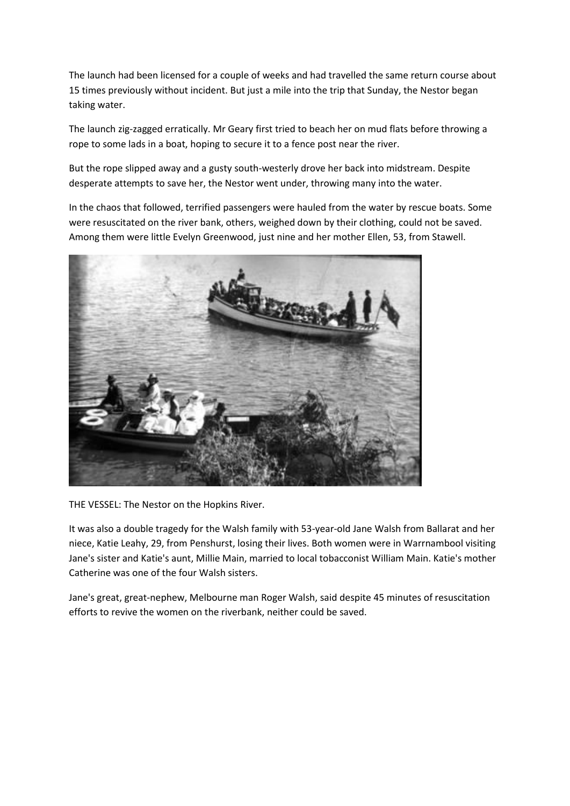The launch had been licensed for a couple of weeks and had travelled the same return course about 15 times previously without incident. But just a mile into the trip that Sunday, the Nestor began taking water.

The launch zig-zagged erratically. Mr Geary first tried to beach her on mud flats before throwing a rope to some lads in a boat, hoping to secure it to a fence post near the river.

But the rope slipped away and a gusty south-westerly drove her back into midstream. Despite desperate attempts to save her, the Nestor went under, throwing many into the water.

In the chaos that followed, terrified passengers were hauled from the water by rescue boats. Some were resuscitated on the river bank, others, weighed down by their clothing, could not be saved. Among them were little Evelyn Greenwood, just nine and her mother Ellen, 53, from Stawell.



THE VESSEL: The Nestor on the Hopkins River.

It was also a double tragedy for the Walsh family with 53-year-old Jane Walsh from Ballarat and her niece, Katie Leahy, 29, from Penshurst, losing their lives. Both women were in Warrnambool visiting Jane's sister and Katie's aunt, Millie Main, married to local tobacconist William Main. Katie's mother Catherine was one of the four Walsh sisters.

Jane's great, great-nephew, Melbourne man Roger Walsh, said despite 45 minutes of resuscitation efforts to revive the women on the riverbank, neither could be saved.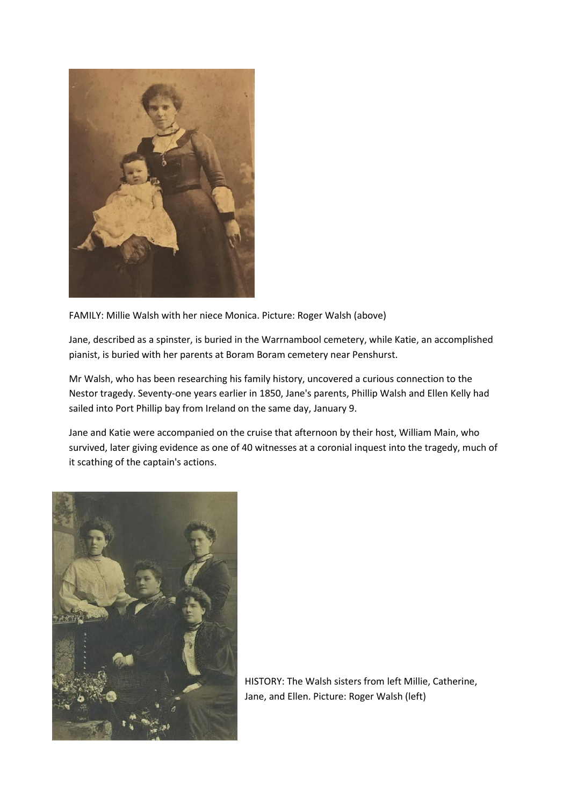

FAMILY: Millie Walsh with her niece Monica. Picture: Roger Walsh (above)

Jane, described as a spinster, is buried in the Warrnambool cemetery, while Katie, an accomplished pianist, is buried with her parents at Boram Boram cemetery near Penshurst.

Mr Walsh, who has been researching his family history, uncovered a curious connection to the Nestor tragedy. Seventy-one years earlier in 1850, Jane's parents, Phillip Walsh and Ellen Kelly had sailed into Port Phillip bay from Ireland on the same day, January 9.

Jane and Katie were accompanied on the cruise that afternoon by their host, William Main, who survived, later giving evidence as one of 40 witnesses at a coronial inquest into the tragedy, much of it scathing of the captain's actions.



HISTORY: The Walsh sisters from left Millie, Catherine, Jane, and Ellen. Picture: Roger Walsh (left)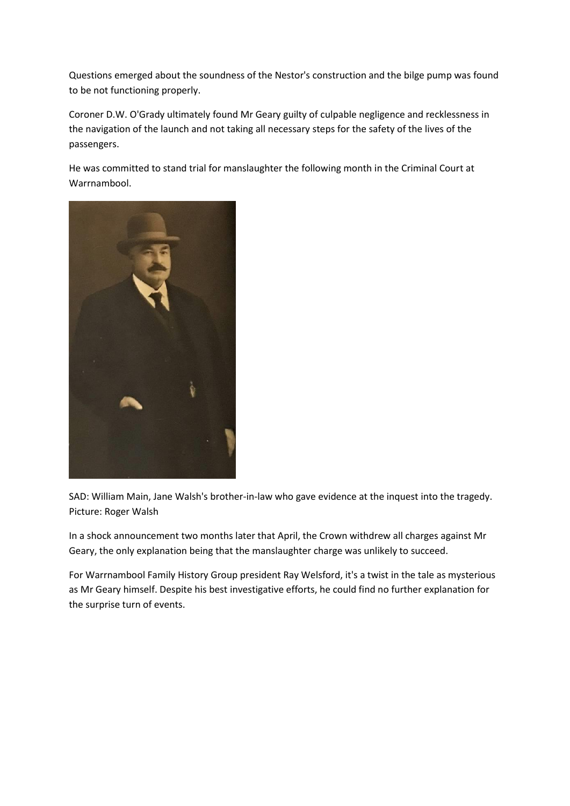Questions emerged about the soundness of the Nestor's construction and the bilge pump was found to be not functioning properly.

Coroner D.W. O'Grady ultimately found Mr Geary guilty of culpable negligence and recklessness in the navigation of the launch and not taking all necessary steps for the safety of the lives of the passengers.

He was committed to stand trial for manslaughter the following month in the Criminal Court at Warrnambool.



SAD: William Main, Jane Walsh's brother-in-law who gave evidence at the inquest into the tragedy. Picture: Roger Walsh

In a shock announcement two months later that April, the Crown withdrew all charges against Mr Geary, the only explanation being that the manslaughter charge was unlikely to succeed.

For Warrnambool Family History Group president Ray Welsford, it's a twist in the tale as mysterious as Mr Geary himself. Despite his best investigative efforts, he could find no further explanation for the surprise turn of events.